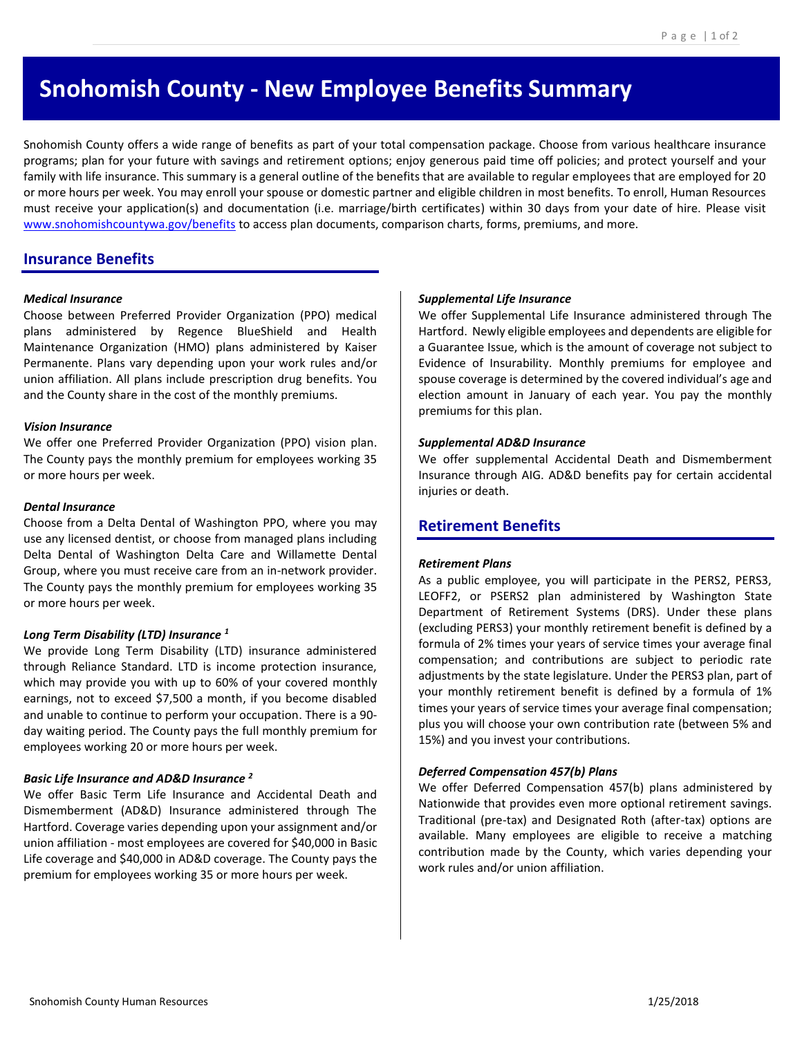# **Snohomish County - New Employee Benefits Summary**

Snohomish County offers a wide range of benefits as part of your total compensation package. Choose from various healthcare insurance programs; plan for your future with savings and retirement options; enjoy generous paid time off policies; and protect yourself and your family with life insurance. This summary is a general outline of the benefits that are available to regular employees that are employed for 20 or more hours per week. You may enroll your spouse or domestic partner and eligible children in most benefits. To enroll, Human Resources must receive your application(s) and documentation (i.e. marriage/birth certificates) within 30 days from your date of hire. Please visit [www.snohomishcountywa.gov/benefits](http://www.snohomishcountywa.gov/benefits) to access plan documents, comparison charts, forms, premiums, and more.

# **Insurance Benefits**

#### *Medical Insurance*

Choose between Preferred Provider Organization (PPO) medical plans administered by Regence BlueShield and Health Maintenance Organization (HMO) plans administered by Kaiser Permanente. Plans vary depending upon your work rules and/or union affiliation. All plans include prescription drug benefits. You and the County share in the cost of the monthly premiums.

#### *Vision Insurance*

We offer one Preferred Provider Organization (PPO) vision plan. The County pays the monthly premium for employees working 35 or more hours per week.

#### *Dental Insurance*

Choose from a Delta Dental of Washington PPO, where you may use any licensed dentist, or choose from managed plans including Delta Dental of Washington Delta Care and Willamette Dental Group, where you must receive care from an in-network provider. The County pays the monthly premium for employees working 35 or more hours per week.

# *Long Term Disability (LTD) Insurance <sup>1</sup>*

We provide Long Term Disability (LTD) insurance administered through Reliance Standard. LTD is income protection insurance, which may provide you with up to 60% of your covered monthly earnings, not to exceed \$7,500 a month, if you become disabled and unable to continue to perform your occupation. There is a 90 day waiting period. The County pays the full monthly premium for employees working 20 or more hours per week.

# *Basic Life Insurance and AD&D Insurance <sup>2</sup>*

We offer Basic Term Life Insurance and Accidental Death and Dismemberment (AD&D) Insurance administered through The Hartford. Coverage varies depending upon your assignment and/or union affiliation - most employees are covered for \$40,000 in Basic Life coverage and \$40,000 in AD&D coverage. The County pays the premium for employees working 35 or more hours per week.

#### *Supplemental Life Insurance*

We offer Supplemental Life Insurance administered through The Hartford. Newly eligible employees and dependents are eligible for a Guarantee Issue, which is the amount of coverage not subject to Evidence of Insurability. Monthly premiums for employee and spouse coverage is determined by the covered individual's age and election amount in January of each year. You pay the monthly premiums for this plan.

#### *Supplemental AD&D Insurance*

We offer supplemental Accidental Death and Dismemberment Insurance through AIG. AD&D benefits pay for certain accidental injuries or death.

# **Retirement Benefits**

# *Retirement Plans*

As a public employee, you will participate in the PERS2, PERS3, LEOFF2, or PSERS2 plan administered by Washington State Department of Retirement Systems (DRS). Under these plans (excluding PERS3) your monthly retirement benefit is defined by a formula of 2% times your years of service times your average final compensation; and contributions are subject to periodic rate adjustments by the state legislature. Under the PERS3 plan, part of your monthly retirement benefit is defined by a formula of 1% times your years of service times your average final compensation; plus you will choose your own contribution rate (between 5% and 15%) and you invest your contributions.

# *Deferred Compensation 457(b) Plans*

We offer Deferred Compensation 457(b) plans administered by Nationwide that provides even more optional retirement savings. Traditional (pre-tax) and Designated Roth (after-tax) options are available. Many employees are eligible to receive a matching contribution made by the County, which varies depending your work rules and/or union affiliation.